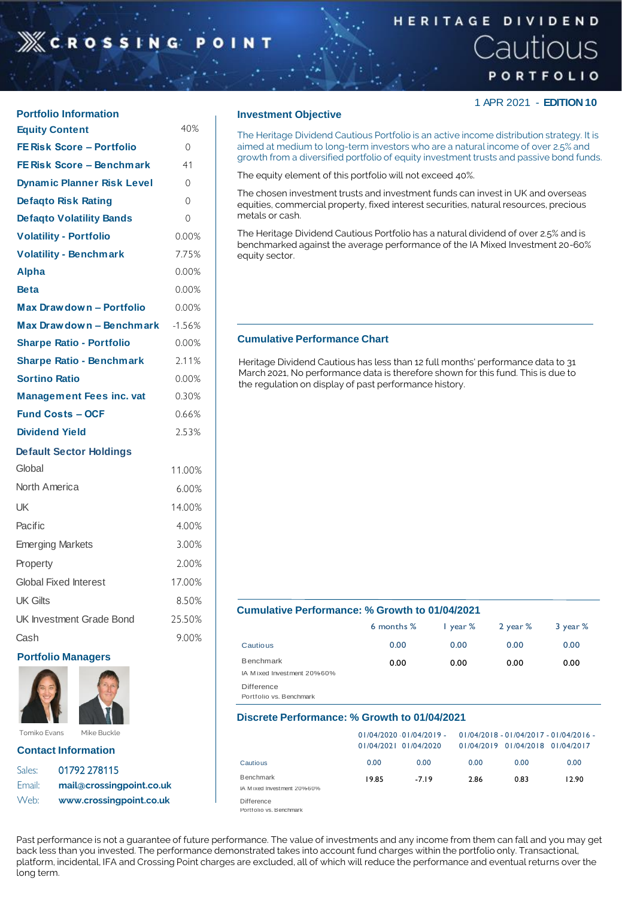# **XCROSSIN**

## **HERITAGE DIVIDEND** Cautious PORTFOLIO

1 APR 2021 - **EDITION 10**

| <b>Portfolio Information</b>      |          |
|-----------------------------------|----------|
| <b>Equity Content</b>             | 40%      |
| <b>FE Risk Score - Portfolio</b>  | 0        |
| <b>FE Risk Score - Benchmark</b>  | 41       |
| <b>Dynamic Planner Risk Level</b> | 0        |
| <b>Defagto Risk Rating</b>        | 0        |
| <b>Defagto Volatility Bands</b>   | 0        |
| <b>Volatility - Portfolio</b>     | 0.00%    |
| <b>Volatility - Benchmark</b>     | 7.75%    |
| <b>Alpha</b>                      | 0.00%    |
| <b>Beta</b>                       | $0.00\%$ |
| Max Drawdown - Portfolio          | 0.00%    |
| Max Drawdown - Benchmark          | $-1.56%$ |
| <b>Sharpe Ratio - Portfolio</b>   | 0.00%    |
| <b>Sharpe Ratio - Benchmark</b>   | 2.11%    |
| <b>Sortino Ratio</b>              | 0.00%    |
| <b>Management Fees inc. vat</b>   | 0.30%    |
| <b>Fund Costs - OCF</b>           | 0.66%    |
| <b>Dividend Yield</b>             | 2.53%    |
| <b>Default Sector Holdings</b>    |          |
| Global                            | 11.00%   |
| North America                     | 6.00%    |
| UK                                | 14.00%   |
| Pacific                           | 4.00%    |
| <b>Emerging Markets</b>           | 3.00%    |
| Property                          | 2.00%    |
| <b>Global Fixed Interest</b>      | 17.00%   |
| <b>UK Gilts</b>                   | 8.50%    |
|                                   |          |

**Portfolio Managers**

**Contact Information** Sales: 01792 278115

Tomiko Evans Mike Buckle

Email: **mail@crossingpoint.co.uk** Web: **www.crossingpoint.co.uk**

UK Investment Grade Bond 25.50% Cash 9.00%

#### **Investment Objective**

The Heritage Dividend Cautious Portfolio is an active income distribution strategy. It is aimed at medium to long-term investors who are a natural income of over 2.5% and growth from a diversified portfolio of equity investment trusts and passive bond funds.

The equity element of this portfolio will not exceed 40%.

The chosen investment trusts and investment funds can invest in UK and overseas equities, commercial property, fixed interest securities, natural resources, precious metals or cash.

The Heritage Dividend Cautious Portfolio has a natural dividend of over 2.5% and is benchmarked against the average performance of the IA Mixed Investment 20-60% equity sector.

#### **Cumulative Performance Chart**

Heritage Dividend Cautious has less than 12 full months' performance data to 31 March 2021, No performance data is therefore shown for this fund. This is due to the regulation on display of past performance history.

#### **Cumulative Performance: % Growth to 01/04/2021**

|                                                | 6 months % | $\frac{1}{2}$ year % | 2 year % | 3 year % |
|------------------------------------------------|------------|----------------------|----------|----------|
| Cautious                                       | 0.00       | 0.00                 | 0.00     | 0.00     |
| <b>Benchmark</b><br>IA Mixed Investment 20%60% | 0.00       | 0.00                 | 0.00     | 0.00     |
| <b>Difference</b><br>Portfolio vs. Benchmark   |            |                      |          |          |

#### **Discrete Performance: % Growth to 01/04/2021**

|                                         |       | $01/04/2020$ $01/04/2019$ -<br>01/04/2021 01/04/2020 |      | 01/04/2019 01/04/2018 01/04/2017 | 01/04/2018 - 01/04/2017 - 01/04/2016 - |
|-----------------------------------------|-------|------------------------------------------------------|------|----------------------------------|----------------------------------------|
| Cautious                                | 0.00  | 0.00                                                 | 0.00 | 0.00                             | 0.00                                   |
| Benchmark<br>IA Mixed Investment 20%60% | 19.85 | $-719$                                               | 2.86 | 0.83                             | 12.90                                  |
| Difference<br>_ _ _ .                   |       |                                                      |      |                                  |                                        |

Portfolio vs. Benchmark

Past performance is not a guarantee of future performance. The value of investments and any income from them can fall and you may get back less than you invested. The performance demonstrated takes into account fund charges within the portfolio only. Transactional, platform, incidental, IFA and Crossing Point charges are excluded, all of which will reduce the performance and eventual returns over the long term.